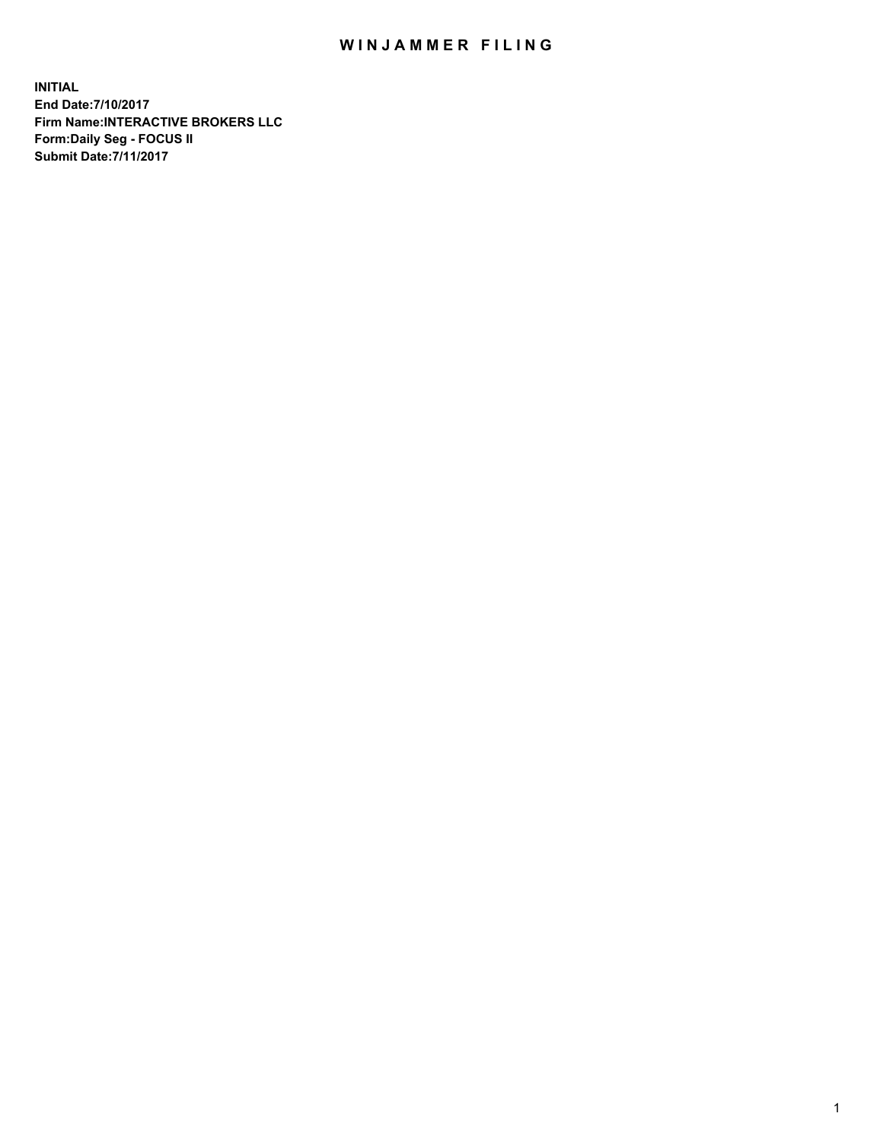## WIN JAMMER FILING

**INITIAL End Date:7/10/2017 Firm Name:INTERACTIVE BROKERS LLC Form:Daily Seg - FOCUS II Submit Date:7/11/2017**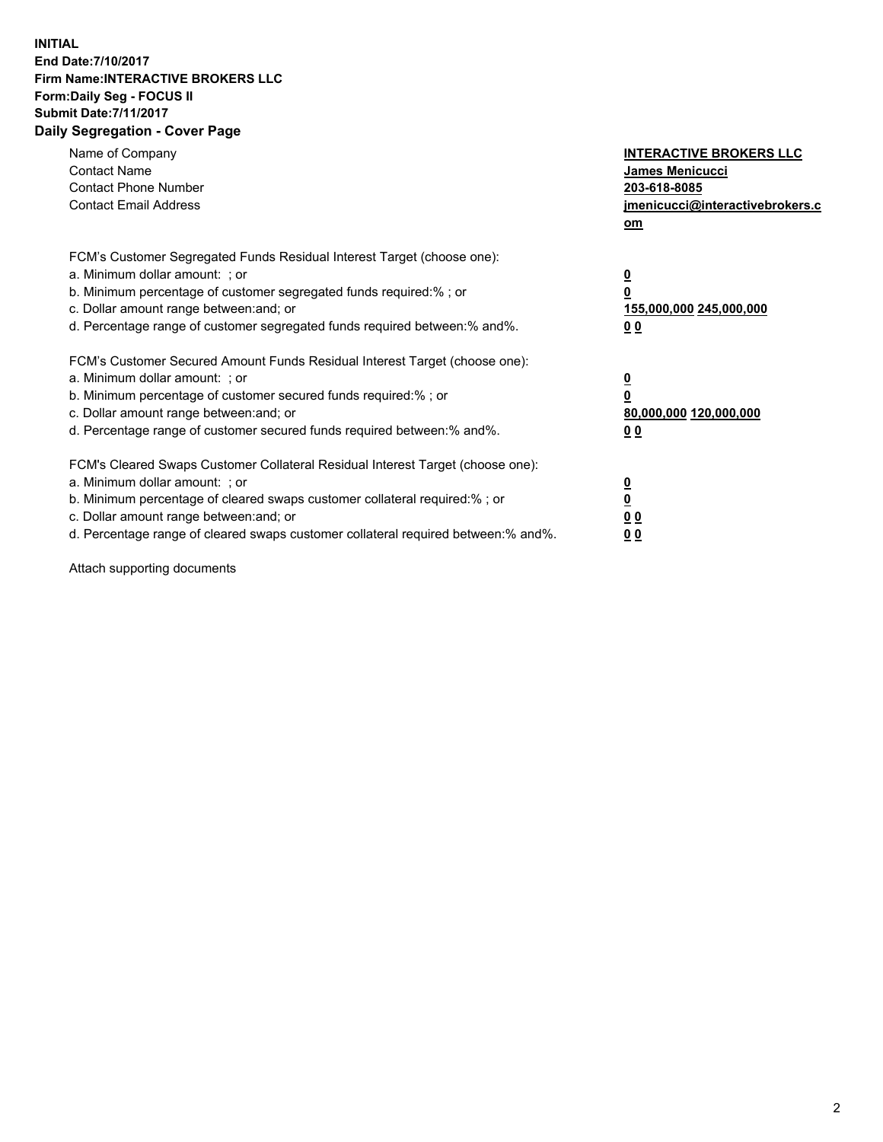## **INITIAL End Date:7/10/2017 Firm Name:INTERACTIVE BROKERS LLC Form:Daily Seg - FOCUS II Submit Date:7/11/2017 Daily Segregation - Cover Page**

| Name of Company<br><b>Contact Name</b><br><b>Contact Phone Number</b><br><b>Contact Email Address</b>                                                                                                                                                                                                                          | <b>INTERACTIVE BROKERS LLC</b><br><b>James Menicucci</b><br>203-618-8085<br>jmenicucci@interactivebrokers.c<br>om |
|--------------------------------------------------------------------------------------------------------------------------------------------------------------------------------------------------------------------------------------------------------------------------------------------------------------------------------|-------------------------------------------------------------------------------------------------------------------|
| FCM's Customer Segregated Funds Residual Interest Target (choose one):<br>a. Minimum dollar amount: ; or<br>b. Minimum percentage of customer segregated funds required:%; or<br>c. Dollar amount range between: and; or<br>d. Percentage range of customer segregated funds required between:% and%.                          | $\overline{\mathbf{0}}$<br>0<br>155,000,000 245,000,000<br>0 <sub>0</sub>                                         |
| FCM's Customer Secured Amount Funds Residual Interest Target (choose one):<br>a. Minimum dollar amount: ; or<br>b. Minimum percentage of customer secured funds required:%; or<br>c. Dollar amount range between: and; or<br>d. Percentage range of customer secured funds required between: % and %.                          | $\overline{\mathbf{0}}$<br>0<br>80,000,000 120,000,000<br>0 <sub>0</sub>                                          |
| FCM's Cleared Swaps Customer Collateral Residual Interest Target (choose one):<br>a. Minimum dollar amount: ; or<br>b. Minimum percentage of cleared swaps customer collateral required:% ; or<br>c. Dollar amount range between: and; or<br>d. Percentage range of cleared swaps customer collateral required between:% and%. | $\overline{\mathbf{0}}$<br>$\overline{\mathbf{0}}$<br>0 <sub>0</sub><br><u>00</u>                                 |

Attach supporting documents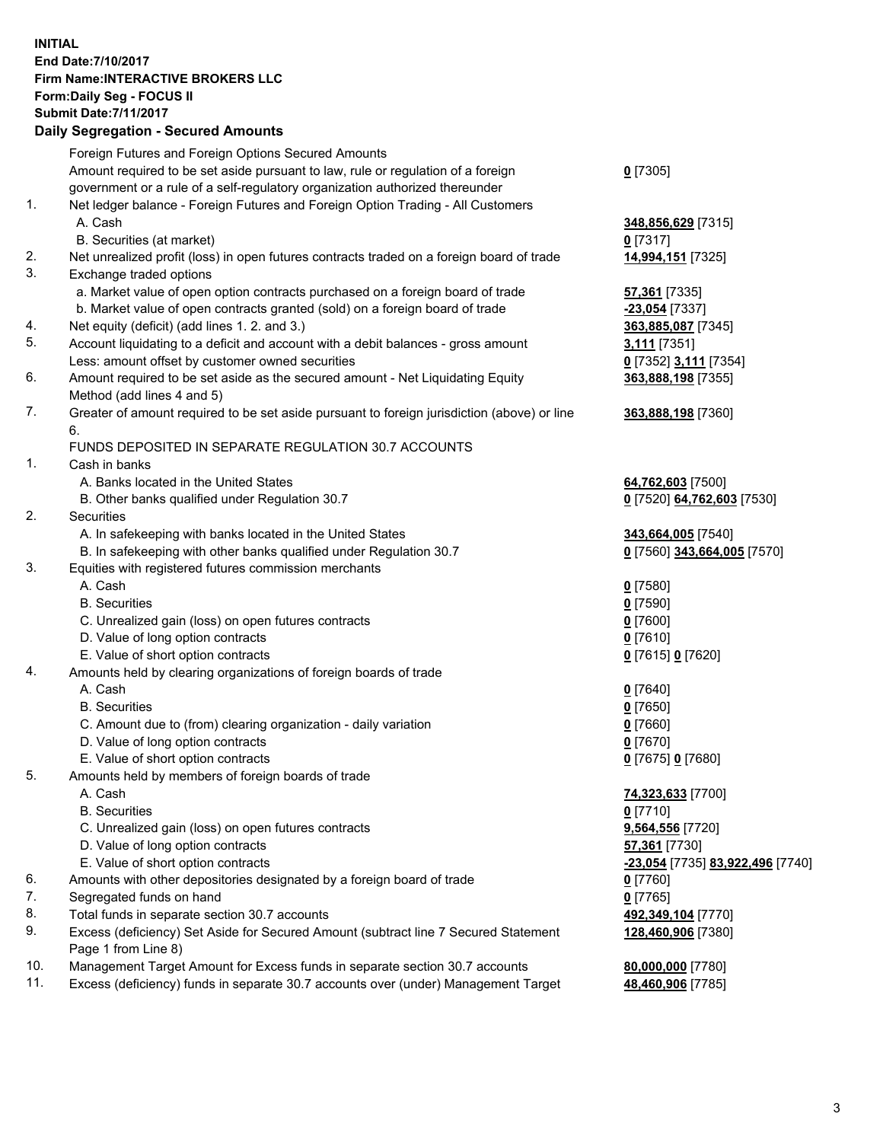## **INITIAL End Date:7/10/2017 Firm Name:INTERACTIVE BROKERS LLC Form:Daily Seg - FOCUS II Submit Date:7/11/2017**

|            | <b>Daily Segregation - Secured Amounts</b>                                                  |                                  |
|------------|---------------------------------------------------------------------------------------------|----------------------------------|
|            | Foreign Futures and Foreign Options Secured Amounts                                         |                                  |
|            | Amount required to be set aside pursuant to law, rule or regulation of a foreign            | $0$ [7305]                       |
|            | government or a rule of a self-regulatory organization authorized thereunder                |                                  |
| 1.         | Net ledger balance - Foreign Futures and Foreign Option Trading - All Customers             |                                  |
|            | A. Cash                                                                                     | 348,856,629 [7315]               |
|            | B. Securities (at market)                                                                   | $0$ [7317]                       |
| 2.         | Net unrealized profit (loss) in open futures contracts traded on a foreign board of trade   | 14,994,151 [7325]                |
| 3.         | Exchange traded options                                                                     |                                  |
|            | a. Market value of open option contracts purchased on a foreign board of trade              | <b>57,361</b> [7335]             |
|            | b. Market value of open contracts granted (sold) on a foreign board of trade                | -23,054 [7337]                   |
| 4.         | Net equity (deficit) (add lines 1. 2. and 3.)                                               | 363,885,087 [7345]               |
| 5.         | Account liquidating to a deficit and account with a debit balances - gross amount           | <b>3,111</b> [7351]              |
|            | Less: amount offset by customer owned securities                                            | 0 [7352] 3,111 [7354]            |
| 6.         | Amount required to be set aside as the secured amount - Net Liquidating Equity              | 363,888,198 [7355]               |
|            | Method (add lines 4 and 5)                                                                  |                                  |
| 7.         | Greater of amount required to be set aside pursuant to foreign jurisdiction (above) or line | 363,888,198 [7360]               |
|            | 6.                                                                                          |                                  |
|            | FUNDS DEPOSITED IN SEPARATE REGULATION 30.7 ACCOUNTS                                        |                                  |
| 1.         | Cash in banks                                                                               |                                  |
|            | A. Banks located in the United States                                                       | 64,762,603 [7500]                |
|            | B. Other banks qualified under Regulation 30.7                                              | 0 [7520] 64,762,603 [7530]       |
| 2.         | Securities                                                                                  |                                  |
|            | A. In safekeeping with banks located in the United States                                   | 343,664,005 [7540]               |
|            | B. In safekeeping with other banks qualified under Regulation 30.7                          | 0 [7560] 343,664,005 [7570]      |
| 3.         | Equities with registered futures commission merchants                                       |                                  |
|            | A. Cash                                                                                     | $0$ [7580]                       |
|            | <b>B.</b> Securities                                                                        | $0$ [7590]                       |
|            | C. Unrealized gain (loss) on open futures contracts                                         | $0$ [7600]                       |
|            | D. Value of long option contracts                                                           | $0$ [7610]                       |
|            | E. Value of short option contracts                                                          | 0 [7615] 0 [7620]                |
| 4.         | Amounts held by clearing organizations of foreign boards of trade                           |                                  |
|            | A. Cash                                                                                     | $0$ [7640]                       |
|            | <b>B.</b> Securities                                                                        | $0$ [7650]                       |
|            | C. Amount due to (from) clearing organization - daily variation                             | $0$ [7660]                       |
|            | D. Value of long option contracts                                                           | $0$ [7670]                       |
|            | E. Value of short option contracts                                                          | 0 [7675] 0 [7680]                |
| 5.         | Amounts held by members of foreign boards of trade                                          |                                  |
|            | A. Cash                                                                                     | 74,323,633 [7700]                |
|            | <b>B.</b> Securities                                                                        | $0$ [7710]                       |
|            | C. Unrealized gain (loss) on open futures contracts                                         | 9,564,556 [7720]                 |
|            | D. Value of long option contracts                                                           | 57,361 [7730]                    |
|            | E. Value of short option contracts                                                          | -23,054 [7735] 83,922,496 [7740] |
| 6.         | Amounts with other depositories designated by a foreign board of trade                      | $0$ [7760]                       |
| 7.         | Segregated funds on hand                                                                    | $0$ [7765]                       |
| 8.         | Total funds in separate section 30.7 accounts                                               | 492,349,104 [7770]               |
| 9.         | Excess (deficiency) Set Aside for Secured Amount (subtract line 7 Secured Statement         | 128,460,906 [7380]               |
|            | Page 1 from Line 8)                                                                         |                                  |
| 10.<br>11. | Management Target Amount for Excess funds in separate section 30.7 accounts                 | 80,000,000 [7780]                |
|            | Excess (deficiency) funds in separate 30.7 accounts over (under) Management Target          | 48,460,906 [7785]                |
|            |                                                                                             |                                  |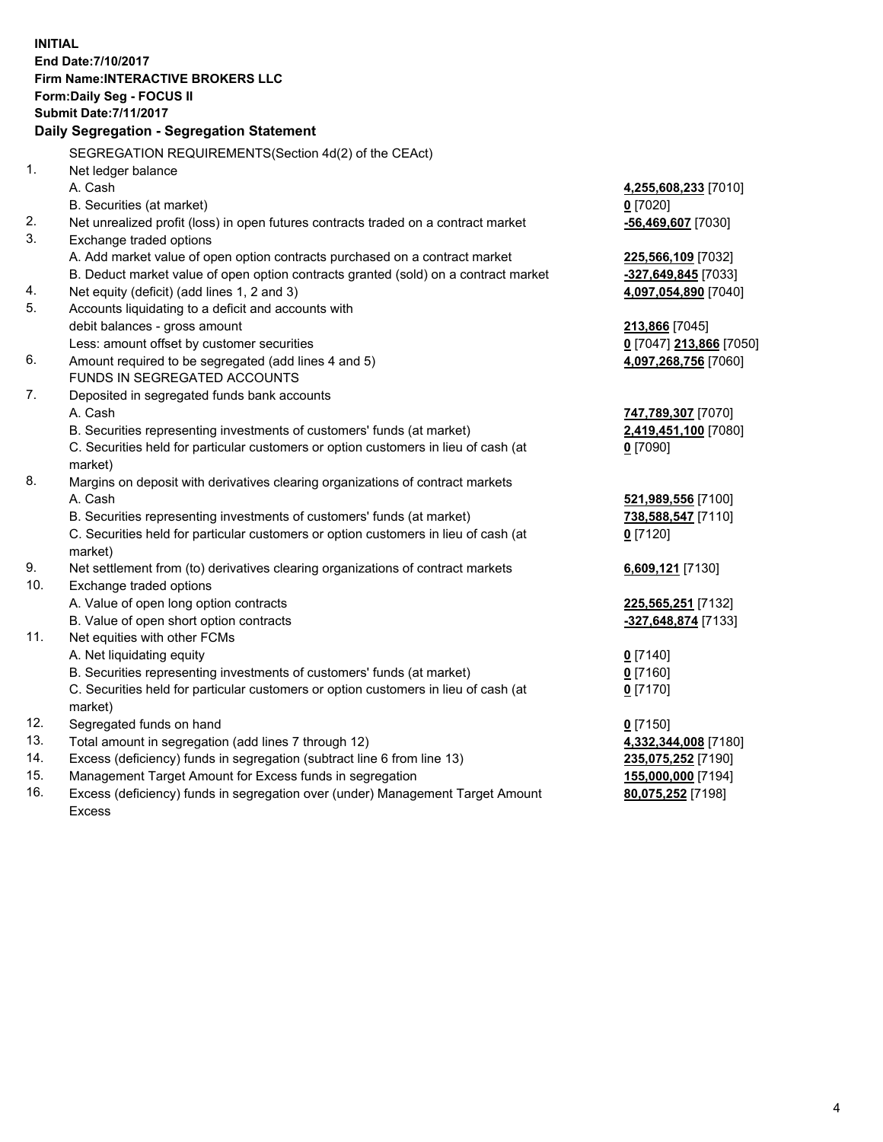**INITIAL End Date:7/10/2017 Firm Name:INTERACTIVE BROKERS LLC Form:Daily Seg - FOCUS II Submit Date:7/11/2017 Daily Segregation - Segregation Statement** SEGREGATION REQUIREMENTS(Section 4d(2) of the CEAct) 1. Net ledger balance A. Cash **4,255,608,233** [7010] B. Securities (at market) **0** [7020] 2. Net unrealized profit (loss) in open futures contracts traded on a contract market **-56,469,607** [7030] 3. Exchange traded options A. Add market value of open option contracts purchased on a contract market **225,566,109** [7032] B. Deduct market value of open option contracts granted (sold) on a contract market **-327,649,845** [7033] 4. Net equity (deficit) (add lines 1, 2 and 3) **4,097,054,890** [7040] 5. Accounts liquidating to a deficit and accounts with debit balances - gross amount **213,866** [7045] Less: amount offset by customer securities **0** [7047] **213,866** [7050] 6. Amount required to be segregated (add lines 4 and 5) **4,097,268,756** [7060] FUNDS IN SEGREGATED ACCOUNTS 7. Deposited in segregated funds bank accounts A. Cash **747,789,307** [7070] B. Securities representing investments of customers' funds (at market) **2,419,451,100** [7080] C. Securities held for particular customers or option customers in lieu of cash (at market) **0** [7090] 8. Margins on deposit with derivatives clearing organizations of contract markets A. Cash **521,989,556** [7100] B. Securities representing investments of customers' funds (at market) **738,588,547** [7110] C. Securities held for particular customers or option customers in lieu of cash (at market) **0** [7120] 9. Net settlement from (to) derivatives clearing organizations of contract markets **6,609,121** [7130] 10. Exchange traded options A. Value of open long option contracts **225,565,251** [7132] B. Value of open short option contracts **-327,648,874** [7133] 11. Net equities with other FCMs A. Net liquidating equity **0** [7140] B. Securities representing investments of customers' funds (at market) **0** [7160] C. Securities held for particular customers or option customers in lieu of cash (at market) **0** [7170] 12. Segregated funds on hand **0** [7150] 13. Total amount in segregation (add lines 7 through 12) **4,332,344,008** [7180] 14. Excess (deficiency) funds in segregation (subtract line 6 from line 13) **235,075,252** [7190] 15. Management Target Amount for Excess funds in segregation **155,000,000** [7194]

16. Excess (deficiency) funds in segregation over (under) Management Target Amount Excess

**80,075,252** [7198]